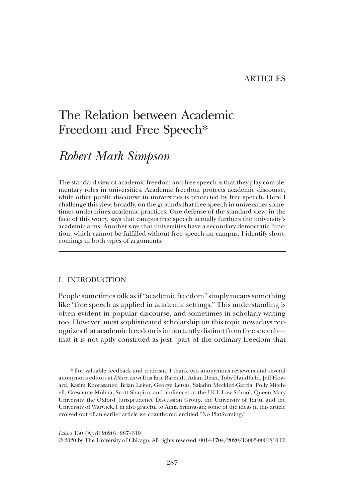## ARTICLES

# The Relation between Academic Freedom and Free Speech\*

# Robert Mark Simpson

The standard view of academic freedom and free speech is that they play complementary roles in universities. Academic freedom protects academic discourse, while other public discourse in universities is protected by free speech. Here I challenge this view, broadly, on the grounds that free speech in universities sometimes undermines academic practices. One defense of the standard view, in the face of this worry, says that campus free speech actually furthers the university's academic aims. Another says that universities have a secondary democratic function, which cannot be fulfilled without free speech on campus. I identify shortcomings in both types of arguments.

## I. INTRODUCTION

People sometimes talk as if"academic freedom"simply means something like "free speech as applied in academic settings." This understanding is often evident in popular discourse, and sometimes in scholarly writing too. However, most sophisticated scholarship on this topic nowadays recognizes that academic freedom is importantly distinct from free speech that it is not aptly construed as just "part of the ordinary freedom that

\* For valuable feedback and criticism, I thank two anonymous reviewers and several anonymous editors at Ethics, as well as Eric Barendt, Adam Dean, Toby Handfield, Jeff Howard, Kasim Khorasanee, Brian Leiter, George Letsas, Saladin Meckled-Garcia, Polly Mitchell, Crescente Molina, Scott Shapiro, and audiences at the UCL Law School, Queen Mary University, the Oxford Jurisprudence Discussion Group, the University of Tartu, and the University of Warwick. I'm also grateful to Amia Srinivasan; some of the ideas in this article evolved out of an earlier article we coauthored entitled "No Platforming."

Ethics 130 (April 2020): 287–319

© 2020 by The University of Chicago. All rights reserved. 0014-1704/2020/13003-0001\$10.00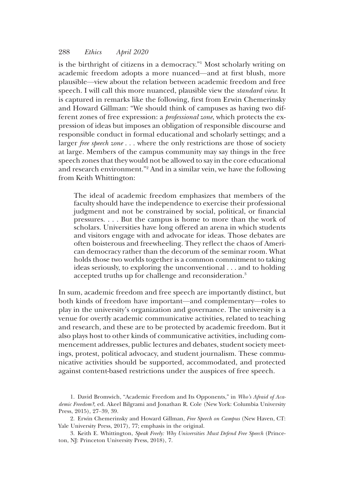is the birthright of citizens in a democracy."<sup>1</sup> Most scholarly writing on academic freedom adopts a more nuanced—and at first blush, more plausible—view about the relation between academic freedom and free speech. I will call this more nuanced, plausible view the standard view. It is captured in remarks like the following, first from Erwin Chemerinsky and Howard Gillman: "We should think of campuses as having two different zones of free expression: a professional zone, which protects the expression of ideas but imposes an obligation of responsible discourse and responsible conduct in formal educational and scholarly settings; and a larger *free speech zone* . . . where the only restrictions are those of society at large. Members of the campus community may say things in the free speech zones that they would not be allowed to say in the core educational and research environment."<sup>2</sup> And in a similar vein, we have the following from Keith Whittington:

The ideal of academic freedom emphasizes that members of the faculty should have the independence to exercise their professional judgment and not be constrained by social, political, or financial pressures. . . . But the campus is home to more than the work of scholars. Universities have long offered an arena in which students and visitors engage with and advocate for ideas. Those debates are often boisterous and freewheeling. They reflect the chaos of American democracy rather than the decorum of the seminar room. What holds those two worlds together is a common commitment to taking ideas seriously, to exploring the unconventional . . . and to holding accepted truths up for challenge and reconsideration.3

In sum, academic freedom and free speech are importantly distinct, but both kinds of freedom have important—and complementary—roles to play in the university's organization and governance. The university is a venue for overtly academic communicative activities, related to teaching and research, and these are to be protected by academic freedom. But it also plays host to other kinds of communicative activities, including commencement addresses, public lectures and debates, student society meetings, protest, political advocacy, and student journalism. These communicative activities should be supported, accommodated, and protected against content-based restrictions under the auspices of free speech.

<sup>1.</sup> David Bromwich, "Academic Freedom and Its Opponents," in Who's Afraid of Academic Freedom?, ed. Akeel Bilgrami and Jonathan R. Cole (New York: Columbia University Press, 2015), 27–39, 39.

<sup>2.</sup> Erwin Chemerinsky and Howard Gillman, Free Speech on Campus (New Haven, CT: Yale University Press, 2017), 77; emphasis in the original.

<sup>3.</sup> Keith E. Whittington, Speak Freely: Why Universities Must Defend Free Speech (Princeton, NJ: Princeton University Press, 2018), 7.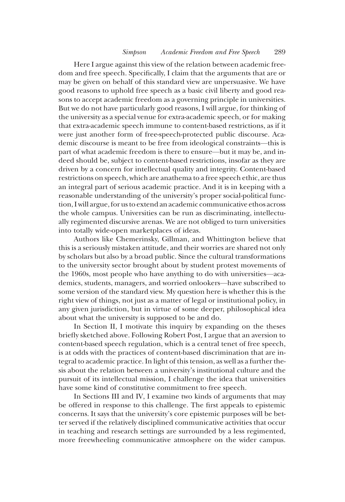Here I argue against this view of the relation between academic freedom and free speech. Specifically, I claim that the arguments that are or may be given on behalf of this standard view are unpersuasive. We have good reasons to uphold free speech as a basic civil liberty and good reasons to accept academic freedom as a governing principle in universities. But we do not have particularly good reasons, I will argue, for thinking of the university as a special venue for extra-academic speech, or for making that extra-academic speech immune to content-based restrictions, as if it were just another form of free-speech-protected public discourse. Academic discourse is meant to be free from ideological constraints—this is part of what academic freedom is there to ensure—but it may be, and indeed should be, subject to content-based restrictions, insofar as they are driven by a concern for intellectual quality and integrity. Content-based restrictions on speech, which are anathema to a free speech ethic, are thus an integral part of serious academic practice. And it is in keeping with a reasonable understanding of the university's proper social-political function, I will argue, for us to extend an academic communicative ethos across the whole campus. Universities can be run as discriminating, intellectually regimented discursive arenas. We are not obliged to turn universities into totally wide-open marketplaces of ideas.

Authors like Chemerinsky, Gillman, and Whittington believe that this is a seriously mistaken attitude, and their worries are shared not only by scholars but also by a broad public. Since the cultural transformations to the university sector brought about by student protest movements of the 1960s, most people who have anything to do with universities—academics, students, managers, and worried onlookers—have subscribed to some version of the standard view. My question here is whether this is the right view of things, not just as a matter of legal or institutional policy, in any given jurisdiction, but in virtue of some deeper, philosophical idea about what the university is supposed to be and do.

In Section II, I motivate this inquiry by expanding on the theses briefly sketched above. Following Robert Post, I argue that an aversion to content-based speech regulation, which is a central tenet of free speech, is at odds with the practices of content-based discrimination that are integral to academic practice. In light of this tension, as well as a further thesis about the relation between a university's institutional culture and the pursuit of its intellectual mission, I challenge the idea that universities have some kind of constitutive commitment to free speech.

In Sections III and IV, I examine two kinds of arguments that may be offered in response to this challenge. The first appeals to epistemic concerns. It says that the university's core epistemic purposes will be better served if the relatively disciplined communicative activities that occur in teaching and research settings are surrounded by a less regimented, more freewheeling communicative atmosphere on the wider campus.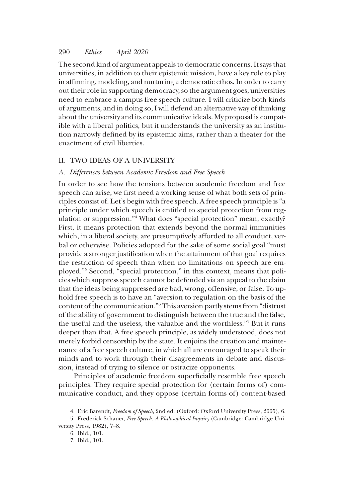The second kind of argument appeals to democratic concerns. It says that universities, in addition to their epistemic mission, have a key role to play in affirming, modeling, and nurturing a democratic ethos. In order to carry out their role in supporting democracy, so the argument goes, universities need to embrace a campus free speech culture. I will criticize both kinds of arguments, and in doing so, I will defend an alternative way of thinking about the university and its communicative ideals. My proposal is compatible with a liberal politics, but it understands the university as an institution narrowly defined by its epistemic aims, rather than a theater for the enactment of civil liberties.

## II. TWO IDEAS OF A UNIVERSITY

#### A. Differences between Academic Freedom and Free Speech

In order to see how the tensions between academic freedom and free speech can arise, we first need a working sense of what both sets of principles consist of. Let's begin with free speech. A free speech principle is"a principle under which speech is entitled to special protection from regulation or suppression."<sup>4</sup> What does "special protection" mean, exactly? First, it means protection that extends beyond the normal immunities which, in a liberal society, are presumptively afforded to all conduct, verbal or otherwise. Policies adopted for the sake of some social goal "must provide a stronger justification when the attainment of that goal requires the restriction of speech than when no limitations on speech are employed."<sup>5</sup> Second, "special protection," in this context, means that policies which suppress speech cannot be defended via an appeal to the claim that the ideas being suppressed are bad, wrong, offensive, or false. To uphold free speech is to have an "aversion to regulation on the basis of the content of the communication."<sup>6</sup> This aversion partly stems from "distrust of the ability of government to distinguish between the true and the false, the useful and the useless, the valuable and the worthless."<sup>7</sup> But it runs deeper than that. A free speech principle, as widely understood, does not merely forbid censorship by the state. It enjoins the creation and maintenance of a free speech culture, in which all are encouraged to speak their minds and to work through their disagreements in debate and discussion, instead of trying to silence or ostracize opponents.

Principles of academic freedom superficially resemble free speech principles. They require special protection for (certain forms of) communicative conduct, and they oppose (certain forms of) content-based

<sup>4.</sup> Eric Barendt, Freedom of Speech, 2nd ed. (Oxford: Oxford University Press, 2005), 6.

<sup>5.</sup> Frederick Schauer, Free Speech: A Philosophical Inquiry (Cambridge: Cambridge University Press, 1982), 7–8.

<sup>6.</sup> Ibid., 101.

<sup>7.</sup> Ibid., 101.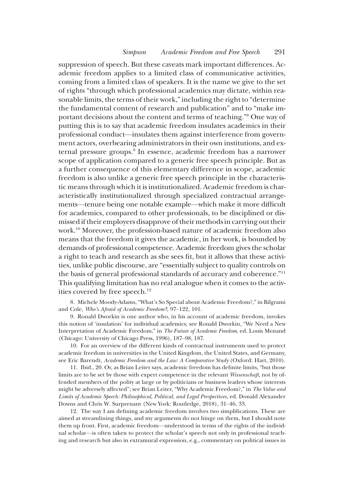suppression of speech. But these caveats mark important differences. Academic freedom applies to a limited class of communicative activities, coming from a limited class of speakers. It is the name we give to the set of rights "through which professional academics may dictate, within reasonable limits, the terms of their work,"including the right to "determine the fundamental content of research and publication" and to "make important decisions about the content and terms of teaching."<sup>8</sup> One way of putting this is to say that academic freedom insulates academics in their professional conduct—insulates them against interference from government actors, overbearing administrators in their own institutions, and external pressure groups.<sup>9</sup> In essence, academic freedom has a narrower scope of application compared to a generic free speech principle. But as a further consequence of this elementary difference in scope, academic freedom is also unlike a generic free speech principle in the characteristic means through which it is institutionalized. Academic freedom is characteristically institutionalized through specialized contractual arrangements—tenure being one notable example—which make it more difficult for academics, compared to other professionals, to be disciplined or dismissed if their employers disapprove of their methods in carrying out their work.10 Moreover, the profession-based nature of academic freedom also means that the freedom it gives the academic, in her work, is bounded by demands of professional competence. Academic freedom gives the scholar a right to teach and research as she sees fit, but it allows that these activities, unlike public discourse, are "essentially subject to quality controls on the basis of general professional standards of accuracy and coherence."<sup>11</sup> This qualifying limitation has no real analogue when it comes to the activities covered by free speech.<sup>12</sup>

8. Michele Moody-Adams, "What's So Special about Academic Freedom?," in Bilgrami and Cole, Who's Afraid of Academic Freedom?, 97–122, 101.

9. Ronald Dworkin is one author who, in his account of academic freedom, invokes this notion of 'insulation' for individual academics; see Ronald Dworkin, "We Need a New Interpretation of Academic Freedom," in The Future of Academic Freedom, ed. Louis Menand (Chicago: University of Chicago Press, 1996), 187–98, 187.

10. For an overview of the different kinds of contractual instruments used to protect academic freedom in universities in the United Kingdom, the United States, and Germany, see Eric Barendt, Academic Freedom and the Law: A Comparative Study (Oxford: Hart, 2010).

11. Ibid., 20. Or, as Brian Leiter says, academic freedom has definite limits, "but those limits are to be set by those with expert competence in the relevant Wissenschaft, not by offended members of the polity at large or by politicians or business leaders whose interests might be adversely affected"; see Brian Leiter, "Why Academic Freedom?," in The Value and Limits of Academic Speech: Philosophical, Political, and Legal Perspectives, ed. Donald Alexander Downs and Chris W. Surprenant (New York: Routledge, 2018), 31–46, 33.

12. The way I am defining academic freedom involves two simplifications. These are aimed at streamlining things, and my arguments do not hinge on them, but I should note them up front. First, academic freedom—understood in terms of the rights of the individual scholar—is often taken to protect the scholar's speech not only in professional teaching and research but also in extramural expression, e.g., commentary on political issues in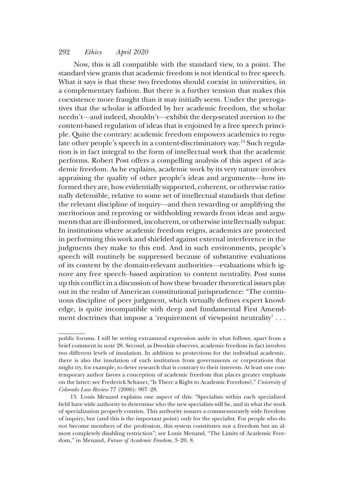Now, this is all compatible with the standard view, to a point. The standard view grants that academic freedom is not identical to free speech. What it says is that these two freedoms should coexist in universities, in a complementary fashion. But there is a further tension that makes this coexistence more fraught than it may initially seem. Under the prerogatives that the scholar is afforded by her academic freedom, the scholar needn't—and indeed, shouldn't—exhibit the deep-seated aversion to the content-based regulation of ideas that is enjoined by a free speech principle. Quite the contrary: academic freedom empowers academics to regulate other people's speech in a content-discriminatory way.13 Such regulation is in fact integral to the form of intellectual work that the academic performs. Robert Post offers a compelling analysis of this aspect of academic freedom. As he explains, academic work by its very nature involves appraising the quality of other people's ideas and arguments—how informed they are, how evidentially supported, coherent, or otherwise rationally defensible, relative to some set of intellectual standards that define the relevant discipline of inquiry—and then rewarding or amplifying the meritorious and reproving or withholding rewards from ideas and arguments that are ill-informed, incoherent, or otherwise intellectually subpar. In institutions where academic freedom reigns, academics are protected in performing this work and shielded against external interference in the judgments they make to this end. And in such environments, people's speech will routinely be suppressed because of substantive evaluations of its content by the domain-relevant authorities—evaluations which ignore any free speech–based aspiration to content neutrality. Post sums up this conflict in a discussion of how these broader theoretical issues play out in the realm of American constitutional jurisprudence: "The continuous discipline of peer judgment, which virtually defines expert knowledge, is quite incompatible with deep and fundamental First Amendment doctrines that impose a 'requirement of viewpoint neutrality' . . .

public forums. I will be setting extramural expression aside in what follows, apart from a brief comment in note 28. Second, as Dworkin observes, academic freedom in fact involves two different levels of insulation. In addition to protections for the individual academic, there is also the insulation of each institution from governments or corporations that might try, for example, to deter research that is contrary to their interests. At least one contemporary author favors a conception of academic freedom that places greater emphasis on the latter; see Frederick Schauer, "Is There a Right to Academic Freedom?," University of Colorado Law Review 77 (2006): 907–28.

<sup>13.</sup> Louis Menand explains one aspect of this: "Specialists within each specialized field have wide authority to determine who the new specialists will be, and in what the work of specialization properly consists. This authority insures a commensurately wide freedom of inquiry; but (and this is the important point) only for the specialist. For people who do not become members of the profession, this system constitutes not a freedom but an almost completely disabling restriction"; see Louis Menand, "The Limits of Academic Freedom," in Menand, Future of Academic Freedom, 3–20, 8.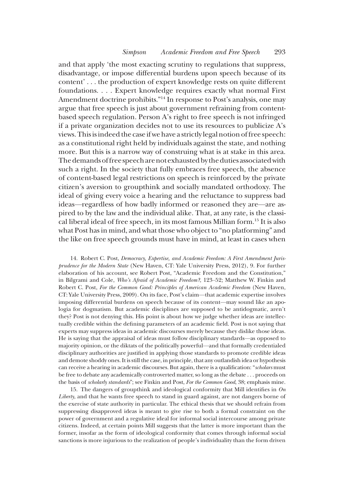and that apply 'the most exacting scrutiny to regulations that suppress, disadvantage, or impose differential burdens upon speech because of its content' . . . the production of expert knowledge rests on quite different foundations. . . . Expert knowledge requires exactly what normal First Amendment doctrine prohibits."<sup>14</sup> In response to Post's analysis, one may argue that free speech is just about government refraining from contentbased speech regulation. Person A's right to free speech is not infringed if a private organization decides not to use its resources to publicize A's views. Thisisindeed the case if we have a strictly legal notion of free speech: as a constitutional right held by individuals against the state, and nothing more. But this is a narrow way of construing what is at stake in this area. The demands of free speech are not exhausted by the duties associated with such a right. In the society that fully embraces free speech, the absence of content-based legal restrictions on speech is reinforced by the private citizen's aversion to groupthink and socially mandated orthodoxy. The ideal of giving every voice a hearing and the reluctance to suppress bad ideas—regardless of how badly informed or reasoned they are—are aspired to by the law and the individual alike. That, at any rate, is the classical liberal ideal of free speech, in its most famous Millian form.15 It is also what Post has in mind, and what those who object to "no platforming" and the like on free speech grounds must have in mind, at least in cases when

14. Robert C. Post, Democracy, Expertise, and Academic Freedom: A First Amendment Jurisprudence for the Modern State (New Haven, CT: Yale University Press, 2012), 9. For further elaboration of his account, see Robert Post, "Academic Freedom and the Constitution," in Bilgrami and Cole, Who's Afraid of Academic Freedom?, 123–52; Matthew W. Finkin and Robert C. Post, For the Common Good: Principles of American Academic Freedom (New Haven, CT: Yale University Press, 2009). On its face, Post's claim—that academic expertise involves imposing differential burdens on speech because of its content—may sound like an apologia for dogmatism. But academic disciplines are supposed to be antidogmatic, aren't they? Post is not denying this. His point is about how we judge whether ideas are intellectually credible within the defining parameters of an academic field. Post is not saying that experts may suppress ideas in academic discourses merely because they dislike those ideas. He is saying that the appraisal of ideas must follow disciplinary standards—as opposed to majority opinion, or the diktats of the politically powerful—and that formally credentialed disciplinary authorities are justified in applying those standards to promote credible ideas and demote shoddy ones. It is still the case, in principle, that any outlandish idea or hypothesis can receive a hearing in academic discourses. But again, there is a qualification: "scholars must be free to debate any academically controverted matter, so long as the debate . . . proceeds on the basis of scholarly standards"; see Finkin and Post, For the Common Good, 38; emphasis mine.

15. The dangers of groupthink and ideological conformity that Mill identifies in On Liberty, and that he wants free speech to stand in guard against, are not dangers borne of the exercise of state authority in particular. The ethical thesis that we should refrain from suppressing disapproved ideas is meant to give rise to both a formal constraint on the power of government and a regulative ideal for informal social intercourse among private citizens. Indeed, at certain points Mill suggests that the latter is more important than the former, insofar as the form of ideological conformity that comes through informal social sanctions is more injurious to the realization of people's individuality than the form driven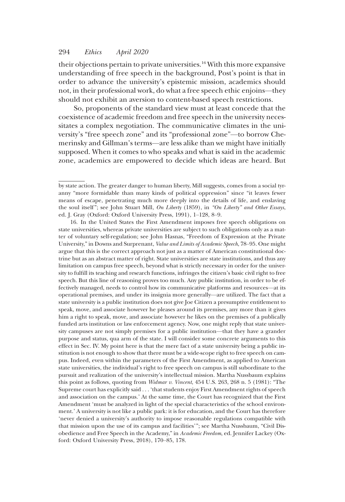their objections pertain to private universities.16 With this more expansive understanding of free speech in the background, Post's point is that in order to advance the university's epistemic mission, academics should not, in their professional work, do what a free speech ethic enjoins—they should not exhibit an aversion to content-based speech restrictions.

So, proponents of the standard view must at least concede that the coexistence of academic freedom and free speech in the university necessitates a complex negotiation. The communicative climates in the university's "free speech zone" and its "professional zone"—to borrow Chemerinsky and Gillman's terms—are less alike than we might have initially supposed. When it comes to who speaks and what is said in the academic zone, academics are empowered to decide which ideas are heard. But

16. In the United States the First Amendment imposes free speech obligations on state universities, whereas private universities are subject to such obligations only as a matter of voluntary self-regulation; see John Hasnas, "Freedom of Expression at the Private University," in Downs and Surprenant, Value and Limits of Academic Speech, 78–95. One might argue that this is the correct approach not just as a matter of American constitutional doctrine but as an abstract matter of right. State universities are state institutions, and thus any limitation on campus free speech, beyond what is strictly necessary in order for the university to fulfill its teaching and research functions, infringes the citizen's basic civil right to free speech. But this line of reasoning proves too much. Any public institution, in order to be effectively managed, needs to control how its communicative platforms and resources—at its operational premises, and under its insignia more generally—are utilized. The fact that a state university is a public institution does not give Joe Citizen a presumptive entitlement to speak, move, and associate however he pleases around its premises, any more than it gives him a right to speak, move, and associate however he likes on the premises of a publically funded arts institution or law enforcement agency. Now, one might reply that state university campuses are not simply premises for a public institution—that they have a grander purpose and status, qua arm of the state. I will consider some concrete arguments to this effect in Sec. IV. My point here is that the mere fact of a state university being a public institution is not enough to show that there must be a wide-scope right to free speech on campus. Indeed, even within the parameters of the First Amendment, as applied to American state universities, the individual's right to free speech on campus is still subordinate to the pursuit and realization of the university's intellectual mission. Martha Nussbaum explains this point as follows, quoting from Widmar v. Vincent, 454 U.S. 263, 268 n. 5 (1981): "The Supreme court has explicitly said . . . 'that students enjoy First Amendment rights of speech and association on the campus.' At the same time, the Court has recognized that the First Amendment 'must be analyzed in light of the special characteristics of the school environment.' A university is not like a public park: it is for education, and the Court has therefore 'never denied a university's authority to impose reasonable regulations compatible with that mission upon the use of its campus and facilities'"; see Martha Nussbaum, "Civil Disobedience and Free Speech in the Academy," in Academic Freedom, ed. Jennifer Lackey (Oxford: Oxford University Press, 2018), 170–85, 178.

by state action. The greater danger to human liberty, Mill suggests, comes from a social tyranny "more formidable than many kinds of political oppression" since "it leaves fewer means of escape, penetrating much more deeply into the details of life, and enslaving the soul itself"; see John Stuart Mill, On Liberty (1859), in "On Liberty" and Other Essays, ed. J. Gray (Oxford: Oxford University Press, 1991), 1–128, 8–9.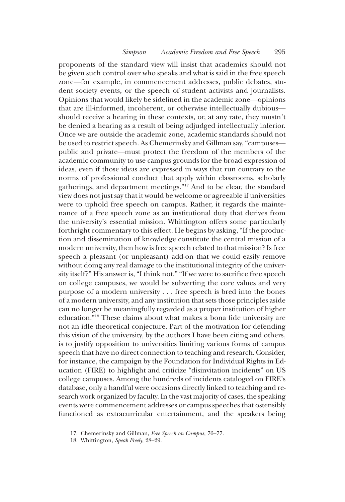proponents of the standard view will insist that academics should not be given such control over who speaks and what is said in the free speech zone—for example, in commencement addresses, public debates, student society events, or the speech of student activists and journalists. Opinions that would likely be sidelined in the academic zone—opinions that are ill-informed, incoherent, or otherwise intellectually dubious should receive a hearing in these contexts, or, at any rate, they mustn't be denied a hearing as a result of being adjudged intellectually inferior. Once we are outside the academic zone, academic standards should not be used to restrict speech. As Chemerinsky and Gillman say,"campuses public and private—must protect the freedom of the members of the academic community to use campus grounds for the broad expression of ideas, even if those ideas are expressed in ways that run contrary to the norms of professional conduct that apply within classrooms, scholarly gatherings, and department meetings."<sup>17</sup> And to be clear, the standard view does not just say that it would be welcome or agreeable if universities were to uphold free speech on campus. Rather, it regards the maintenance of a free speech zone as an institutional duty that derives from the university's essential mission. Whittington offers some particularly forthright commentary to this effect. He begins by asking, "If the production and dissemination of knowledge constitute the central mission of a modern university, then how is free speech related to that mission? Is free speech a pleasant (or unpleasant) add-on that we could easily remove without doing any real damage to the institutional integrity of the university itself?" His answer is, "I think not." "If we were to sacrifice free speech on college campuses, we would be subverting the core values and very purpose of a modern university . . . free speech is bred into the bones of a modern university, and any institution that sets those principles aside can no longer be meaningfully regarded as a proper institution of higher education."<sup>18</sup> These claims about what makes a bona fide university are not an idle theoretical conjecture. Part of the motivation for defending this vision of the university, by the authors I have been citing and others, is to justify opposition to universities limiting various forms of campus speech that have no direct connection to teaching and research. Consider, for instance, the campaign by the Foundation for Individual Rights in Education (FIRE) to highlight and criticize "disinvitation incidents" on US college campuses. Among the hundreds of incidents cataloged on FIRE's database, only a handful were occasions directly linked to teaching and research work organized by faculty. In the vast majority of cases, the speaking events were commencement addresses or campus speeches that ostensibly functioned as extracurricular entertainment, and the speakers being

<sup>17.</sup> Chemerinsky and Gillman, Free Speech on Campus, 76–77.

<sup>18.</sup> Whittington, Speak Freely, 28–29.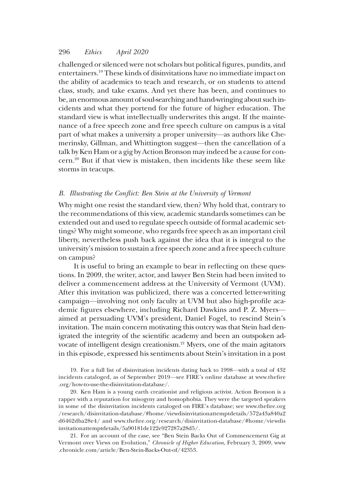challenged or silenced were not scholars but political figures, pundits, and entertainers.19 These kinds of disinvitations have no immediate impact on the ability of academics to teach and research, or on students to attend class, study, and take exams. And yet there has been, and continues to be, an enormous amount of soul-searching and hand-wringing about such incidents and what they portend for the future of higher education. The standard view is what intellectually underwrites this angst. If the maintenance of a free speech zone and free speech culture on campus is a vital part of what makes a university a proper university—as authors like Chemerinsky, Gillman, and Whittington suggest—then the cancellation of a talk by Ken Ham or a gig by Action Bronson may indeed be a cause for concern.20 But if that view is mistaken, then incidents like these seem like storms in teacups.

## B. Illustrating the Conflict: Ben Stein at the University of Vermont

Why might one resist the standard view, then? Why hold that, contrary to the recommendations of this view, academic standards sometimes can be extended out and used to regulate speech outside of formal academic settings? Why might someone, who regards free speech as an important civil liberty, nevertheless push back against the idea that it is integral to the university's mission to sustain a free speech zone and a free speech culture on campus?

It is useful to bring an example to bear in reflecting on these questions. In 2009, the writer, actor, and lawyer Ben Stein had been invited to deliver a commencement address at the University of Vermont (UVM). After this invitation was publicized, there was a concerted letter-writing campaign—involving not only faculty at UVM but also high-profile academic figures elsewhere, including Richard Dawkins and P. Z. Myers aimed at persuading UVM's president, Daniel Fogel, to rescind Stein's invitation. The main concern motivating this outcry was that Stein had denigrated the integrity of the scientific academy and been an outspoken advocate of intelligent design creationism.21 Myers, one of the main agitators in this episode, expressed his sentiments about Stein's invitation in a post

19. For a full list of disinvitation incidents dating back to 1998—with a total of 432 incidents cataloged, as of September 2019—see FIRE's online database at www.thefire .org/how-to-use-the-disinvitation-database/.

20. Ken Ham is a young earth creationist and religious activist. Action Bronson is a rapper with a reputation for misogyny and homophobia. They were the targeted speakers in some of the disinvitation incidents cataloged on FIRE's database; see www.thefire.org /research/disinvitation-database/#home/viewdisinvitationattemptdetails/572a43a840a2 d6462dba28e4/ and www.thefire.org/research/disinvitation-database/#home/viewdis invitationattemptdetails/5a90181de122e927287a28d5/.

21. For an account of the case, see "Ben Stein Backs Out of Commencement Gig at Vermont over Views on Evolution," Chronicle of Higher Education, February 3, 2009, www .chronicle.com/article/Ben-Stein-Backs-Out-of/42353.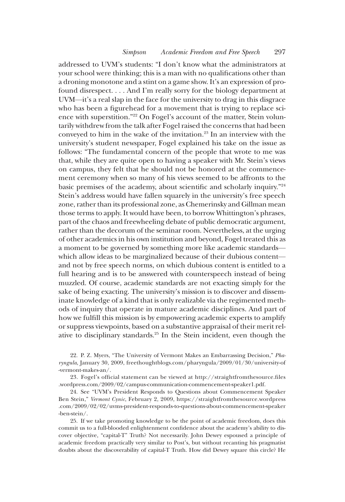addressed to UVM's students: "I don't know what the administrators at your school were thinking; this is a man with no qualifications other than a droning monotone and a stint on a game show. It's an expression of profound disrespect. . . . And I'm really sorry for the biology department at UVM—it's a real slap in the face for the university to drag in this disgrace who has been a figurehead for a movement that is trying to replace science with superstition."<sup>22</sup> On Fogel's account of the matter, Stein voluntarily withdrew from the talk after Fogel raised the concerns that had been conveyed to him in the wake of the invitation.23 In an interview with the university's student newspaper, Fogel explained his take on the issue as follows: "The fundamental concern of the people that wrote to me was that, while they are quite open to having a speaker with Mr. Stein's views on campus, they felt that he should not be honored at the commencement ceremony when so many of his views seemed to be affronts to the basic premises of the academy, about scientific and scholarly inquiry."<sup>24</sup> Stein's address would have fallen squarely in the university's free speech zone, rather than its professional zone, as Chemerinsky and Gillman mean those terms to apply. It would have been, to borrow Whittington's phrases, part of the chaos and freewheeling debate of public democratic argument, rather than the decorum of the seminar room. Nevertheless, at the urging of other academics in his own institution and beyond, Fogel treated this as a moment to be governed by something more like academic standards which allow ideas to be marginalized because of their dubious content and not by free speech norms, on which dubious content is entitled to a full hearing and is to be answered with counterspeech instead of being muzzled. Of course, academic standards are not exacting simply for the sake of being exacting. The university's mission is to discover and disseminate knowledge of a kind that is only realizable via the regimented methods of inquiry that operate in mature academic disciplines. And part of how we fulfill this mission is by empowering academic experts to amplify or suppress viewpoints, based on a substantive appraisal of their merit relative to disciplinary standards.25 In the Stein incident, even though the

22. P. Z. Myers, "The University of Vermont Makes an Embarrassing Decision," Pharyngula, January 30, 2009, freethoughtblogs.com/pharyngula/2009/01/30/university-of -vermont-makes-an/.

23. Fogel's official statement can be viewed at http://straightfromthesource.files .wordpress.com/2009/02/campus-communication-commencement-speaker1.pdf.

24. See "UVM's President Responds to Questions about Commencement Speaker Ben Stein," Vermont Cynic, February 2, 2009, https://straightfromthesource.wordpress .com/2009/02/02/uvms-president-responds-to-questions-about-commencement-speaker -ben-stein/.

25. If we take promoting knowledge to be the point of academic freedom, does this commit us to a full-blooded enlightenment confidence about the academy's ability to discover objective, "capital-T" Truth? Not necessarily. John Dewey espoused a principle of academic freedom practically very similar to Post's, but without recanting his pragmatist doubts about the discoverability of capital-T Truth. How did Dewey square this circle? He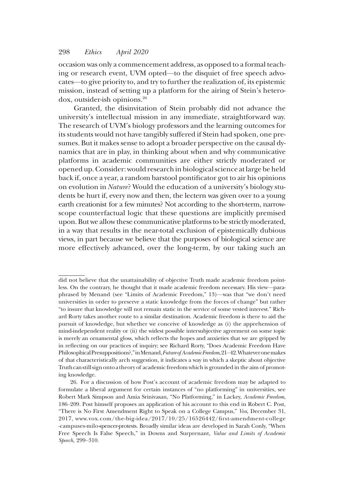occasion was only a commencement address, as opposed to a formal teaching or research event, UVM opted—to the disquiet of free speech advocates—to give priority to, and try to further the realization of, its epistemic mission, instead of setting up a platform for the airing of Stein's heterodox, outsider-ish opinions.26

Granted, the disinvitation of Stein probably did not advance the university's intellectual mission in any immediate, straightforward way. The research of UVM's biology professors and the learning outcomes for its students would not have tangibly suffered if Stein had spoken, one presumes. But it makes sense to adopt a broader perspective on the causal dynamics that are in play, in thinking about when and why communicative platforms in academic communities are either strictly moderated or opened up. Consider: would research in biological science atlarge be held back if, once a year, a random barstool pontificator got to air his opinions on evolution in Nature? Would the education of a university's biology students be hurt if, every now and then, the lectern was given over to a young earth creationist for a few minutes? Not according to the short-term, narrowscope counterfactual logic that these questions are implicitly premised upon. But we allow these communicative platforms to be strictly moderated, in a way that results in the near-total exclusion of epistemically dubious views, in part because we believe that the purposes of biological science are more effectively advanced, over the long-term, by our taking such an

did not believe that the unattainability of objective Truth made academic freedom pointless. On the contrary, he thought that it made academic freedom necessary. His view—paraphrased by Menand (see "Limits of Academic Freedom," 13)—was that "we don't need universities in order to preserve a static knowledge from the forces of change" but rather "to insure that knowledge will not remain static in the service of some vested interest." Richard Rorty takes another route to a similar destination. Academic freedom is there to aid the pursuit of knowledge, but whether we conceive of knowledge as (i) the apprehension of mind-independent reality or (ii) the widest possible intersubjective agreement on some topic is merely an ornamental gloss, which reflects the hopes and anxieties that we are gripped by in reflecting on our practices of inquiry; see Richard Rorty, "Does Academic Freedom Have PhilosophicalPresuppositions?,"inMenand,Futureof AcademicFreedom,21–42.Whateveronemakes of that characteristically arch suggestion, it indicates a way in which a skeptic about objective Truth can still sign onto a theory of academic freedom which is grounded in the aim of promoting knowledge.

<sup>26.</sup> For a discussion of how Post's account of academic freedom may be adapted to formulate a liberal argument for certain instances of "no platforming" in universities, see Robert Mark Simpson and Amia Srinivasan, "No Platforming," in Lackey, Academic Freedom, 186–209. Post himself proposes an application of his account to this end in Robert C. Post, "There is No First Amendment Right to Speak on a College Campus," Vox, December 31, 2017, www.vox.com/the-big-idea/2017/10/25/16526442/first-amendment-college -campuses-milo-spencer-protests. Broadly similar ideas are developed in Sarah Conly, "When Free Speech Is False Speech," in Downs and Surprenant, Value and Limits of Academic Speech, 299–310.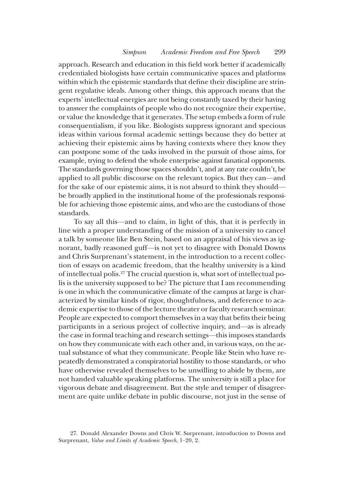approach. Research and education in this field work better if academically credentialed biologists have certain communicative spaces and platforms within which the epistemic standards that define their discipline are stringent regulative ideals. Among other things, this approach means that the experts' intellectual energies are not being constantly taxed by their having to answer the complaints of people who do not recognize their expertise, or value the knowledge that it generates. The setup embeds a form of rule consequentialism, if you like. Biologists suppress ignorant and specious ideas within various formal academic settings because they do better at achieving their epistemic aims by having contexts where they know they can postpone some of the tasks involved in the pursuit of those aims, for example, trying to defend the whole enterprise against fanatical opponents. The standards governing those spaces shouldn't, and at any rate couldn't, be applied to all public discourse on the relevant topics. But they can—and for the sake of our epistemic aims, it is not absurd to think they should be broadly applied in the institutional home of the professionals responsible for achieving those epistemic aims, and who are the custodians of those standards.

To say all this—and to claim, in light of this, that it is perfectly in line with a proper understanding of the mission of a university to cancel a talk by someone like Ben Stein, based on an appraisal of his views as ignorant, badly reasoned guff—is not yet to disagree with Donald Downs and Chris Surprenant's statement, in the introduction to a recent collection of essays on academic freedom, that the healthy university is a kind of intellectual polis.27 The crucial question is, what sort of intellectual polis is the university supposed to be? The picture that I am recommending is one in which the communicative climate of the campus at large is characterized by similar kinds of rigor, thoughtfulness, and deference to academic expertise to those of the lecture theater or faculty research seminar. People are expected to comport themselves in a way that befits their being participants in a serious project of collective inquiry, and—as is already the case in formal teaching and research settings—this imposes standards on how they communicate with each other and, in various ways, on the actual substance of what they communicate. People like Stein who have repeatedly demonstrated a conspiratorial hostility to those standards, or who have otherwise revealed themselves to be unwilling to abide by them, are not handed valuable speaking platforms. The university is still a place for vigorous debate and disagreement. But the style and temper of disagreement are quite unlike debate in public discourse, not just in the sense of

<sup>27.</sup> Donald Alexander Downs and Chris W. Surprenant, introduction to Downs and Surprenant, Value and Limits of Academic Speech, 1–20, 2.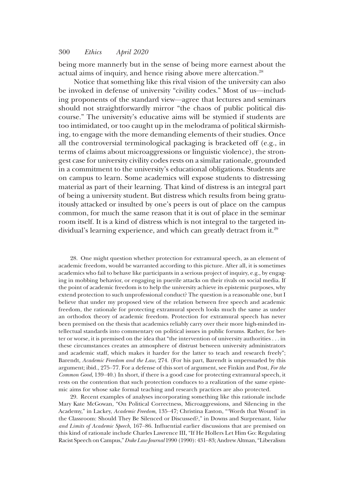being more mannerly but in the sense of being more earnest about the actual aims of inquiry, and hence rising above mere altercation.<sup>28</sup>

Notice that something like this rival vision of the university can also be invoked in defense of university "civility codes." Most of us—including proponents of the standard view—agree that lectures and seminars should not straightforwardly mirror "the chaos of public political discourse." The university's educative aims will be stymied if students are too intimidated, or too caught up in the melodrama of political skirmishing, to engage with the more demanding elements of their studies. Once all the controversial terminological packaging is bracketed off (e.g., in terms of claims about microaggressions or linguistic violence), the strongest case for university civility codes rests on a similar rationale, grounded in a commitment to the university's educational obligations. Students are on campus to learn. Some academics will expose students to distressing material as part of their learning. That kind of distress is an integral part of being a university student. But distress which results from being gratuitously attacked or insulted by one's peers is out of place on the campus common, for much the same reason that it is out of place in the seminar room itself. It is a kind of distress which is not integral to the targeted individual's learning experience, and which can greatly detract from it.29

28. One might question whether protection for extramural speech, as an element of academic freedom, would be warranted according to this picture. After all, it is sometimes academics who fail to behave like participants in a serious project of inquiry, e.g., by engaging in mobbing behavior, or engaging in puerile attacks on their rivals on social media. If the point of academic freedom is to help the university achieve its epistemic purposes, why extend protection to such unprofessional conduct? The question is a reasonable one, but I believe that under my proposed view of the relation between free speech and academic freedom, the rationale for protecting extramural speech looks much the same as under an orthodox theory of academic freedom. Protection for extramural speech has never been premised on the thesis that academics reliably carry over their more high-minded intellectual standards into commentary on political issues in public forums. Rather, for better or worse, it is premised on the idea that "the intervention of university authorities . . . in these circumstances creates an atmosphere of distrust between university administrators and academic staff, which makes it harder for the latter to teach and research freely"; Barendt, Academic Freedom and the Law, 274. (For his part, Barendt is unpersuaded by this argument; ibid., 275–77. For a defense of this sort of argument, see Finkin and Post, For the Common Good, 139–40.) In short, if there is a good case for protecting extramural speech, it rests on the contention that such protection conduces to a realization of the same epistemic aims for whose sake formal teaching and research practices are also protected.

29. Recent examples of analyses incorporating something like this rationale include Mary Kate McGowan, "On Political Correctness, Microaggressions, and Silencing in the Academy," in Lackey, Academic Freedom, 135–47; Christina Easton, "'Words that Wound' in the Classroom: Should They Be Silenced or Discussed?," in Downs and Surprenant, Value and Limits of Academic Speech, 167–86. Influential earlier discussions that are premised on this kind of rationale include Charles Lawrence III, "If He Hollers Let Him Go: Regulating Racist Speech on Campus,"Duke Law Journal 1990 (1990): 431–83; Andrew Altman,"Liberalism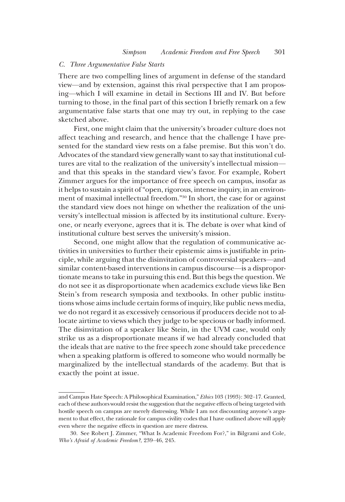## C. Three Argumentative False Starts

There are two compelling lines of argument in defense of the standard view—and by extension, against this rival perspective that I am proposing—which I will examine in detail in Sections III and IV. But before turning to those, in the final part of this section I briefly remark on a few argumentative false starts that one may try out, in replying to the case sketched above.

First, one might claim that the university's broader culture does not affect teaching and research, and hence that the challenge I have presented for the standard view rests on a false premise. But this won't do. Advocates of the standard view generally want to say that institutional cultures are vital to the realization of the university's intellectual mission and that this speaks in the standard view's favor. For example, Robert Zimmer argues for the importance of free speech on campus, insofar as it helps to sustain a spirit of"open, rigorous, intense inquiry, in an environment of maximal intellectual freedom."<sup>30</sup> In short, the case for or against the standard view does not hinge on whether the realization of the university's intellectual mission is affected by its institutional culture. Everyone, or nearly everyone, agrees that it is. The debate is over what kind of institutional culture best serves the university's mission.

Second, one might allow that the regulation of communicative activities in universities to further their epistemic aims is justifiable in principle, while arguing that the disinvitation of controversial speakers—and similar content-based interventions in campus discourse—is a disproportionate means to take in pursuing this end. But this begs the question. We do not see it as disproportionate when academics exclude views like Ben Stein's from research symposia and textbooks. In other public institutions whose aims include certain forms of inquiry, like public news media, we do not regard it as excessively censorious if producers decide not to allocate airtime to views which they judge to be specious or badly informed. The disinvitation of a speaker like Stein, in the UVM case, would only strike us as a disproportionate means if we had already concluded that the ideals that are native to the free speech zone should take precedence when a speaking platform is offered to someone who would normally be marginalized by the intellectual standards of the academy. But that is exactly the point at issue.

and Campus Hate Speech: A Philosophical Examination," Ethics 103 (1993): 302–17. Granted, each of these authors would resist the suggestion that the negative effects of being targeted with hostile speech on campus are merely distressing. While I am not discounting anyone's argument to that effect, the rationale for campus civility codes that I have outlined above will apply even where the negative effects in question are mere distress.

<sup>30.</sup> See Robert J. Zimmer, "What Is Academic Freedom For?," in Bilgrami and Cole, Who's Afraid of Academic Freedom?, 239–46, 245.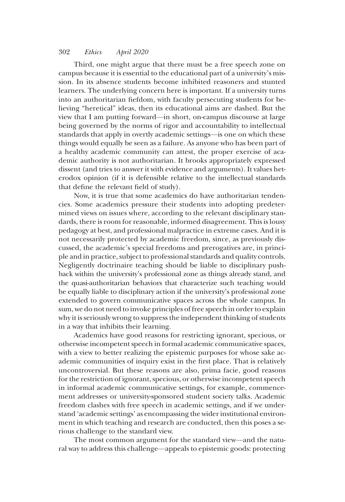Third, one might argue that there must be a free speech zone on campus because it is essential to the educational part of a university's mission. In its absence students become inhibited reasoners and stunted learners. The underlying concern here is important. If a university turns into an authoritarian fiefdom, with faculty persecuting students for believing "heretical" ideas, then its educational aims are dashed. But the view that I am putting forward—in short, on-campus discourse at large being governed by the norms of rigor and accountability to intellectual standards that apply in overtly academic settings—is one on which these things would equally be seen as a failure. As anyone who has been part of a healthy academic community can attest, the proper exercise of academic authority is not authoritarian. It brooks appropriately expressed dissent (and tries to answer it with evidence and arguments). It values heterodox opinion (if it is defensible relative to the intellectual standards that define the relevant field of study).

Now, it is true that some academics do have authoritarian tendencies. Some academics pressure their students into adopting predetermined views on issues where, according to the relevant disciplinary standards, there is room for reasonable, informed disagreement. This is lousy pedagogy at best, and professional malpractice in extreme cases. And it is not necessarily protected by academic freedom, since, as previously discussed, the academic's special freedoms and prerogatives are, in principle and in practice, subject to professional standards and quality controls. Negligently doctrinaire teaching should be liable to disciplinary pushback within the university's professional zone as things already stand, and the quasi-authoritarian behaviors that characterize such teaching would be equally liable to disciplinary action if the university's professional zone extended to govern communicative spaces across the whole campus. In sum, we do not need to invoke principles of free speech in order to explain why it is seriously wrong to suppress the independent thinking of students in a way that inhibits their learning.

Academics have good reasons for restricting ignorant, specious, or otherwise incompetent speech in formal academic communicative spaces, with a view to better realizing the epistemic purposes for whose sake academic communities of inquiry exist in the first place. That is relatively uncontroversial. But these reasons are also, prima facie, good reasons for the restriction of ignorant, specious, or otherwise incompetent speech in informal academic communicative settings, for example, commencement addresses or university-sponsored student society talks. Academic freedom clashes with free speech in academic settings, and if we understand 'academic settings' as encompassing the wider institutional environment in which teaching and research are conducted, then this poses a serious challenge to the standard view.

The most common argument for the standard view—and the natural way to address this challenge—appeals to epistemic goods: protecting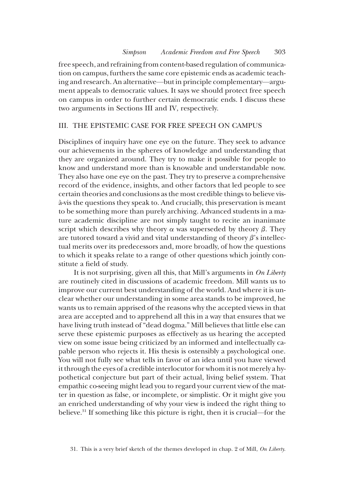free speech, and refraining from content-based regulation of communication on campus, furthers the same core epistemic ends as academic teaching and research. An alternative—but in principle complementary—argument appeals to democratic values. It says we should protect free speech on campus in order to further certain democratic ends. I discuss these two arguments in Sections III and IV, respectively.

### III. THE EPISTEMIC CASE FOR FREE SPEECH ON CAMPUS

Disciplines of inquiry have one eye on the future. They seek to advance our achievements in the spheres of knowledge and understanding that they are organized around. They try to make it possible for people to know and understand more than is knowable and understandable now. They also have one eye on the past. They try to preserve a comprehensive record of the evidence, insights, and other factors that led people to see certain theories and conclusions as the most credible things to believe visà-vis the questions they speak to. And crucially, this preservation is meant to be something more than purely archiving. Advanced students in a mature academic discipline are not simply taught to recite an inanimate script which describes why theory  $\alpha$  was superseded by theory  $\beta$ . They are tutored toward a vivid and vital understanding of theory  $\beta$ 's intellectual merits over its predecessors and, more broadly, of how the questions to which it speaks relate to a range of other questions which jointly constitute a field of study.

It is not surprising, given all this, that Mill's arguments in On Liberty are routinely cited in discussions of academic freedom. Mill wants us to improve our current best understanding of the world. And where it is unclear whether our understanding in some area stands to be improved, he wants us to remain apprised of the reasons why the accepted views in that area are accepted and to apprehend all this in a way that ensures that we have living truth instead of"dead dogma." Mill believes that little else can serve these epistemic purposes as effectively as us hearing the accepted view on some issue being criticized by an informed and intellectually capable person who rejects it. His thesis is ostensibly a psychological one. You will not fully see what tells in favor of an idea until you have viewed it through the eyes of a credible interlocutor for whom it is not merely a hypothetical conjecture but part of their actual, living belief system. That empathic co-seeing might lead you to regard your current view of the matter in question as false, or incomplete, or simplistic. Or it might give you an enriched understanding of why your view is indeed the right thing to believe.31 If something like this picture is right, then it is crucial—for the

<sup>31.</sup> This is a very brief sketch of the themes developed in chap. 2 of Mill, On Liberty.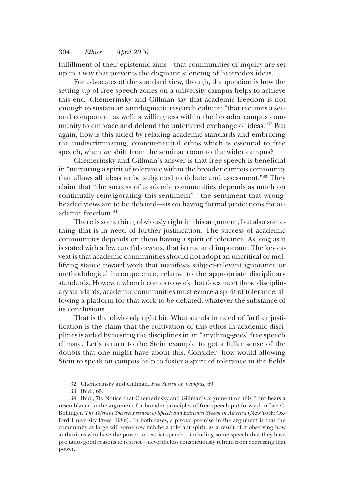fulfillment of their epistemic aims—that communities of inquiry are set up in a way that prevents the dogmatic silencing of heterodox ideas.

For advocates of the standard view, though, the question is how the setting up of free speech zones on a university campus helps to achieve this end. Chemerinsky and Gillman say that academic freedom is not enough to sustain an antidogmatic research culture; "that requires a second component as well: a willingness within the broader campus community to embrace and defend the unfettered exchange of ideas."<sup>32</sup> But again, how is this aided by relaxing academic standards and embracing the undiscriminating, content-neutral ethos which is essential to free speech, when we shift from the seminar room to the wider campus?

Chemerinsky and Gillman's answer is that free speech is beneficial in "nurturing a spirit of tolerance within the broader campus community that allows all ideas to be subjected to debate and assessment."<sup>33</sup> They claim that "the success of academic communities depends as much on continually reinvigorating this sentiment"—the sentiment that wrongheaded views are to be debated—as on having formal protections for academic freedom.<sup>34</sup>

There is something obviously right in this argument, but also something that is in need of further justification. The success of academic communities depends on them having a spirit of tolerance. As long as it is stated with a few careful caveats, that is true and important. The key caveat is that academic communities should not adopt an uncritical or mollifying stance toward work that manifests subject-relevant ignorance or methodological incompetence, relative to the appropriate disciplinary standards. However, when it comes to work that does meet these disciplinary standards, academic communities must evince a spirit of tolerance, allowing a platform for that work to be debated, whatever the substance of its conclusions.

That is the obviously right bit. What stands in need of further justification is the claim that the cultivation of this ethos in academic disciplines is aided by nesting the disciplines in an "anything-goes"free speech climate. Let's return to the Stein example to get a fuller sense of the doubts that one might have about this. Consider: how would allowing Stein to speak on campus help to foster a spirit of tolerance in the fields

- 32. Chemerinsky and Gillman, Free Speech on Campus, 69.
- 33. Ibid., 65.

34. Ibid., 70. Notice that Chemerinsky and Gillman's argument on this front bears a resemblance to the argument for broader principles of free speech put forward in Lee C. Bollinger, The Tolerant Society: Freedom of Speech and Extremist Speech in America (New York: Oxford University Press, 1986). In both cases, a pivotal premise in the argument is that the community at large will somehow imbibe a tolerant spirit, as a result of it observing how authorities who have the power to restrict speech—including some speech that they have pro tanto good reasons to restrict—nevertheless conspicuously refrain from exercising that power.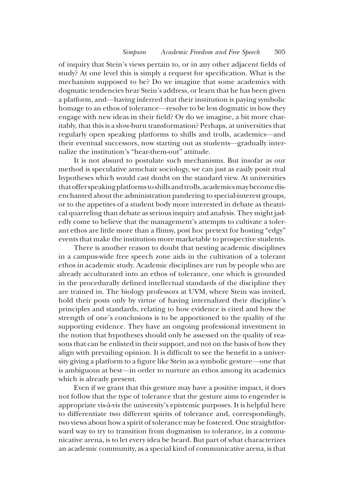of inquiry that Stein's views pertain to, or in any other adjacent fields of study? At one level this is simply a request for specification. What is the mechanism supposed to be? Do we imagine that some academics with dogmatic tendencies hear Stein's address, or learn that he has been given a platform, and—having inferred that their institution is paying symbolic homage to an ethos of tolerance—resolve to be less dogmatic in how they engage with new ideas in their field? Or do we imagine, a bit more charitably, that this is a slow-burn transformation? Perhaps, at universities that regularly open speaking platforms to shills and trolls, academics—and their eventual successors, now starting out as students—gradually internalize the institution's "hear-them-out" attitude.

It is not absurd to postulate such mechanisms. But insofar as our method is speculative armchair sociology, we can just as easily posit rival hypotheses which would cast doubt on the standard view. At universities that offer speaking platforms to shills and trolls, academics may become disenchanted about the administration pandering to special-interest groups, or to the appetites of a student body more interested in debate as theatrical quarreling than debate as serious inquiry and analysis. They might jadedly come to believe that the management's attempts to cultivate a tolerant ethos are little more than a flimsy, post hoc pretext for hosting "edgy" events that make the institution more marketable to prospective students.

There is another reason to doubt that nesting academic disciplines in a campus-wide free speech zone aids in the cultivation of a tolerant ethos in academic study. Academic disciplines are run by people who are already acculturated into an ethos of tolerance, one which is grounded in the procedurally defined intellectual standards of the discipline they are trained in. The biology professors at UVM, where Stein was invited, hold their posts only by virtue of having internalized their discipline's principles and standards, relating to how evidence is cited and how the strength of one's conclusions is to be apportioned to the quality of the supporting evidence. They have an ongoing professional investment in the notion that hypotheses should only be assessed on the quality of reasons that can be enlisted in their support, and not on the basis of how they align with prevailing opinion. It is difficult to see the benefit in a university giving a platform to a figure like Stein as a symbolic gesture—one that is ambiguous at best—in order to nurture an ethos among its academics which is already present.

Even if we grant that this gesture may have a positive impact, it does not follow that the type of tolerance that the gesture aims to engender is appropriate vis-à-vis the university's epistemic purposes. It is helpful here to differentiate two different spirits of tolerance and, correspondingly, two views about how a spirit of tolerance may be fostered. One straightforward way to try to transition from dogmatism to tolerance, in a communicative arena, is to let every idea be heard. But part of what characterizes an academic community, as a special kind of communicative arena, is that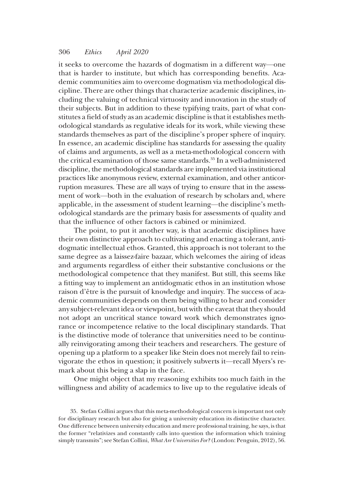it seeks to overcome the hazards of dogmatism in a different way—one that is harder to institute, but which has corresponding benefits. Academic communities aim to overcome dogmatism via methodological discipline. There are other things that characterize academic disciplines, including the valuing of technical virtuosity and innovation in the study of their subjects. But in addition to these typifying traits, part of what constitutes a field of study as an academic discipline is that it establishes methodological standards as regulative ideals for its work, while viewing these standards themselves as part of the discipline's proper sphere of inquiry. In essence, an academic discipline has standards for assessing the quality of claims and arguments, as well as a meta-methodological concern with the critical examination of those same standards.<sup>35</sup> In a well-administered discipline, the methodological standards are implemented via institutional practices like anonymous review, external examination, and other anticorruption measures. These are all ways of trying to ensure that in the assessment of work—both in the evaluation of research by scholars and, where applicable, in the assessment of student learning—the discipline's methodological standards are the primary basis for assessments of quality and that the influence of other factors is cabined or minimized.

The point, to put it another way, is that academic disciplines have their own distinctive approach to cultivating and enacting a tolerant, antidogmatic intellectual ethos. Granted, this approach is not tolerant to the same degree as a laissez-faire bazaar, which welcomes the airing of ideas and arguments regardless of either their substantive conclusions or the methodological competence that they manifest. But still, this seems like a fitting way to implement an antidogmatic ethos in an institution whose raison d'être is the pursuit of knowledge and inquiry. The success of academic communities depends on them being willing to hear and consider any subject-relevant idea or viewpoint, but with the caveat that they should not adopt an uncritical stance toward work which demonstrates ignorance or incompetence relative to the local disciplinary standards. That is the distinctive mode of tolerance that universities need to be continually reinvigorating among their teachers and researchers. The gesture of opening up a platform to a speaker like Stein does not merely fail to reinvigorate the ethos in question; it positively subverts it—recall Myers's remark about this being a slap in the face.

One might object that my reasoning exhibits too much faith in the willingness and ability of academics to live up to the regulative ideals of

<sup>35.</sup> Stefan Collini argues that this meta-methodological concern is important not only for disciplinary research but also for giving a university education its distinctive character. One difference between university education and mere professional training, he says, is that the former "relativizes and constantly calls into question the information which training simply transmits"; see Stefan Collini, What Are Universities For? (London: Penguin, 2012), 56.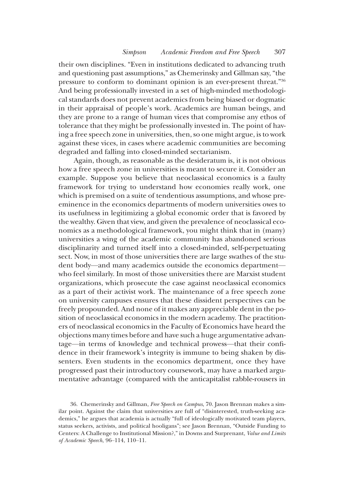their own disciplines. "Even in institutions dedicated to advancing truth and questioning past assumptions," as Chemerinsky and Gillman say, "the pressure to conform to dominant opinion is an ever-present threat."<sup>36</sup> And being professionally invested in a set of high-minded methodological standards does not prevent academics from being biased or dogmatic in their appraisal of people's work. Academics are human beings, and they are prone to a range of human vices that compromise any ethos of tolerance that they might be professionally invested in. The point of having a free speech zone in universities, then, so one might argue, is to work against these vices, in cases where academic communities are becoming degraded and falling into closed-minded sectarianism.

Again, though, as reasonable as the desideratum is, it is not obvious how a free speech zone in universities is meant to secure it. Consider an example. Suppose you believe that neoclassical economics is a faulty framework for trying to understand how economies really work, one which is premised on a suite of tendentious assumptions, and whose preeminence in the economics departments of modern universities owes to its usefulness in legitimizing a global economic order that is favored by the wealthy. Given that view, and given the prevalence of neoclassical economics as a methodological framework, you might think that in (many) universities a wing of the academic community has abandoned serious disciplinarity and turned itself into a closed-minded, self-perpetuating sect. Now, in most of those universities there are large swathes of the student body—and many academics outside the economics department who feel similarly. In most of those universities there are Marxist student organizations, which prosecute the case against neoclassical economics as a part of their activist work. The maintenance of a free speech zone on university campuses ensures that these dissident perspectives can be freely propounded. And none of it makes any appreciable dent in the position of neoclassical economics in the modern academy. The practitioners of neoclassical economics in the Faculty of Economics have heard the objections many times before and have such a huge argumentative advantage—in terms of knowledge and technical prowess—that their confidence in their framework's integrity is immune to being shaken by dissenters. Even students in the economics department, once they have progressed past their introductory coursework, may have a marked argumentative advantage (compared with the anticapitalist rabble-rousers in

<sup>36.</sup> Chemerinsky and Gillman, Free Speech on Campus, 70. Jason Brennan makes a similar point. Against the claim that universities are full of "disinterested, truth-seeking academics," he argues that academia is actually "full of ideologically motivated team players, status seekers, activists, and political hooligans"; see Jason Brennan, "Outside Funding to Centers: A Challenge to Institutional Mission?," in Downs and Surprenant, Value and Limits of Academic Speech, 96–114, 110–11.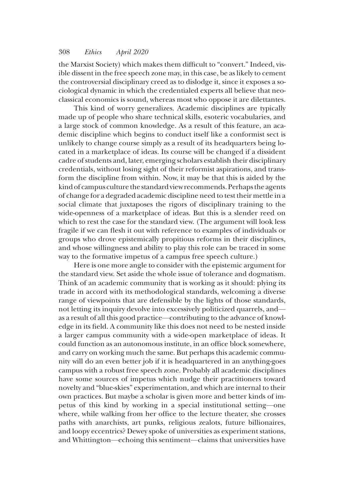the Marxist Society) which makes them difficult to "convert." Indeed, visible dissent in the free speech zone may, in this case, be as likely to cement the controversial disciplinary creed as to dislodge it, since it exposes a sociological dynamic in which the credentialed experts all believe that neoclassical economics is sound, whereas most who oppose it are dilettantes.

This kind of worry generalizes. Academic disciplines are typically made up of people who share technical skills, esoteric vocabularies, and a large stock of common knowledge. As a result of this feature, an academic discipline which begins to conduct itself like a conformist sect is unlikely to change course simply as a result of its headquarters being located in a marketplace of ideas. Its course will be changed if a dissident cadre of students and, later, emerging scholars establish their disciplinary credentials, without losing sight of their reformist aspirations, and transform the discipline from within. Now, it may be that this is aided by the kind of campus culture the standard view recommends. Perhaps the agents of change for a degraded academic discipline need to test their mettle in a social climate that juxtaposes the rigors of disciplinary training to the wide-openness of a marketplace of ideas. But this is a slender reed on which to rest the case for the standard view. (The argument will look less fragile if we can flesh it out with reference to examples of individuals or groups who drove epistemically propitious reforms in their disciplines, and whose willingness and ability to play this role can be traced in some way to the formative impetus of a campus free speech culture.)

Here is one more angle to consider with the epistemic argument for the standard view. Set aside the whole issue of tolerance and dogmatism. Think of an academic community that is working as it should: plying its trade in accord with its methodological standards, welcoming a diverse range of viewpoints that are defensible by the lights of those standards, not letting its inquiry devolve into excessively politicized quarrels, and as a result of all this good practice—contributing to the advance of knowledge in its field. A community like this does not need to be nested inside a larger campus community with a wide-open marketplace of ideas. It could function as an autonomous institute, in an office block somewhere, and carry on working much the same. But perhaps this academic community will do an even better job if it is headquartered in an anything-goes campus with a robust free speech zone. Probably all academic disciplines have some sources of impetus which nudge their practitioners toward novelty and "blue-skies" experimentation, and which are internal to their own practices. But maybe a scholar is given more and better kinds of impetus of this kind by working in a special institutional setting—one where, while walking from her office to the lecture theater, she crosses paths with anarchists, art punks, religious zealots, future billionaires, and loopy eccentrics? Dewey spoke of universities as experiment stations, and Whittington—echoing this sentiment—claims that universities have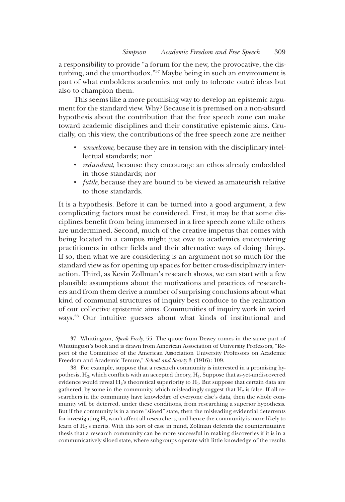a responsibility to provide "a forum for the new, the provocative, the disturbing, and the unorthodox."<sup>37</sup> Maybe being in such an environment is part of what emboldens academics not only to tolerate outré ideas but also to champion them.

This seems like a more promising way to develop an epistemic argument for the standard view. Why? Because it is premised on a non-absurd hypothesis about the contribution that the free speech zone can make toward academic disciplines and their constitutive epistemic aims. Crucially, on this view, the contributions of the free speech zone are neither

- *unwelcome*, because they are in tension with the disciplinary intellectual standards; nor
- *redundant*, because they encourage an ethos already embedded in those standards; nor
- *futile*, because they are bound to be viewed as amateurish relative to those standards.

It is a hypothesis. Before it can be turned into a good argument, a few complicating factors must be considered. First, it may be that some disciplines benefit from being immersed in a free speech zone while others are undermined. Second, much of the creative impetus that comes with being located in a campus might just owe to academics encountering practitioners in other fields and their alternative ways of doing things. If so, then what we are considering is an argument not so much for the standard view as for opening up spaces for better cross-disciplinary interaction. Third, as Kevin Zollman's research shows, we can start with a few plausible assumptions about the motivations and practices of researchers and from them derive a number of surprising conclusions about what kind of communal structures of inquiry best conduce to the realization of our collective epistemic aims. Communities of inquiry work in weird ways.38 Our intuitive guesses about what kinds of institutional and

37. Whittington, Speak Freely, 55. The quote from Dewey comes in the same part of Whittington's book and is drawn from American Association of University Professors, "Report of the Committee of the American Association University Professors on Academic Freedom and Academic Tenure," School and Society 3 (1916): 109.

38. For example, suppose that a research community is interested in a promising hypothesis, H<sub>2</sub>, which conflicts with an accepted theory, H<sub>1</sub>. Suppose that as-yet-undiscovered evidence would reveal  $H_2$ 's theoretical superiority to  $H_1$ . But suppose that certain data are gathered, by some in the community, which misleadingly suggest that  $H_2$  is false. If all researchers in the community have knowledge of everyone else's data, then the whole community will be deterred, under these conditions, from researching a superior hypothesis. But if the community is in a more "siloed" state, then the misleading evidential deterrents for investigating H<sub>2</sub> won't affect all researchers, and hence the community is more likely to learn of  $H_2$ 's merits. With this sort of case in mind, Zollman defends the counterintuitive thesis that a research community can be more successful in making discoveries if it is in a communicatively siloed state, where subgroups operate with little knowledge of the results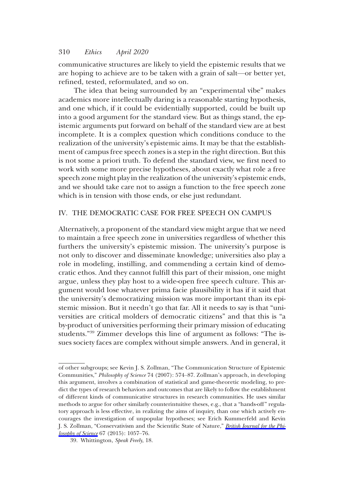communicative structures are likely to yield the epistemic results that we are hoping to achieve are to be taken with a grain of salt—or better yet, refined, tested, reformulated, and so on.

The idea that being surrounded by an "experimental vibe" makes academics more intellectually daring is a reasonable starting hypothesis, and one which, if it could be evidentially supported, could be built up into a good argument for the standard view. But as things stand, the epistemic arguments put forward on behalf of the standard view are at best incomplete. It is a complex question which conditions conduce to the realization of the university's epistemic aims. It may be that the establishment of campus free speech zones is a step in the right direction. But this is not some a priori truth. To defend the standard view, we first need to work with some more precise hypotheses, about exactly what role a free speech zone might play in the realization of the university's epistemic ends, and we should take care not to assign a function to the free speech zone which is in tension with those ends, or else just redundant.

## IV. THE DEMOCRATIC CASE FOR FREE SPEECH ON CAMPUS

Alternatively, a proponent of the standard view might argue that we need to maintain a free speech zone in universities regardless of whether this furthers the university's epistemic mission. The university's purpose is not only to discover and disseminate knowledge; universities also play a role in modeling, instilling, and commending a certain kind of democratic ethos. And they cannot fulfill this part of their mission, one might argue, unless they play host to a wide-open free speech culture. This argument would lose whatever prima facie plausibility it has if it said that the university's democratizing mission was more important than its epistemic mission. But it needn't go that far. All it needs to say is that "universities are critical molders of democratic citizens" and that this is "a by-product of universities performing their primary mission of educating students."<sup>39</sup> Zimmer develops this line of argument as follows: "The issues society faces are complex without simple answers. And in general, it

of other subgroups; see Kevin J. S. Zollman, "The Communication Structure of Epistemic Communities," Philosophy of Science 74 (2007): 574–87. Zollman's approach, in developing this argument, involves a combination of statistical and game-theoretic modeling, to predict the types of research behaviors and outcomes that are likely to follow the establishment of different kinds of communicative structures in research communities. He uses similar methods to argue for other similarly counterintuitive theses, e.g., that a "hands-off" regulatory approach is less effective, in realizing the aims of inquiry, than one which actively encourages the investigation of unpopular hypotheses; see Erich Kummerfeld and Kevin J. S. Zollman, "Conservativism and the Scientific State of Nature," [British Journal for the Phi](https://www.journals.uchicago.edu/action/showLinks?doi=10.1086%2F707211&crossref=10.1093%2Fbjps%2Faxv013&citationId=p_n_57)[losophy of Science](https://www.journals.uchicago.edu/action/showLinks?doi=10.1086%2F707211&crossref=10.1093%2Fbjps%2Faxv013&citationId=p_n_57) 67 (2015): 1057–76.

<sup>39.</sup> Whittington, Speak Freely, 18.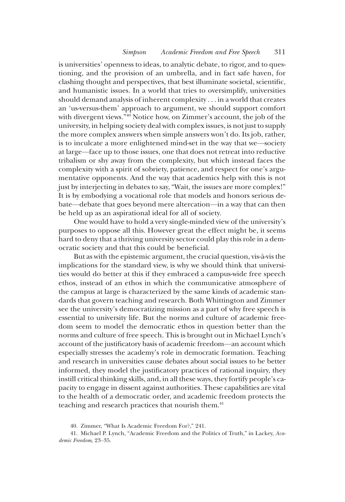is universities' openness to ideas, to analytic debate, to rigor, and to questioning, and the provision of an umbrella, and in fact safe haven, for clashing thought and perspectives, that best illuminate societal, scientific, and humanistic issues. In a world that tries to oversimplify, universities should demand analysis of inherent complexity . . . in a world that creates an 'us-versus-them' approach to argument, we should support comfort with divergent views."<sup>40</sup> Notice how, on Zimmer's account, the job of the university, in helping society deal with complex issues, is not just to supply the more complex answers when simple answers won't do. Its job, rather, is to inculcate a more enlightened mind-set in the way that we—society at large—face up to those issues, one that does not retreat into reductive tribalism or shy away from the complexity, but which instead faces the complexity with a spirit of sobriety, patience, and respect for one's argumentative opponents. And the way that academics help with this is not just by interjecting in debates to say, "Wait, the issues are more complex!" It is by embodying a vocational role that models and honors serious debate—debate that goes beyond mere altercation—in a way that can then be held up as an aspirational ideal for all of society.

One would have to hold a very single-minded view of the university's purposes to oppose all this. However great the effect might be, it seems hard to deny that a thriving university sector could play this role in a democratic society and that this could be beneficial.

But as with the epistemic argument, the crucial question, vis-à-vis the implications for the standard view, is why we should think that universities would do better at this if they embraced a campus-wide free speech ethos, instead of an ethos in which the communicative atmosphere of the campus at large is characterized by the same kinds of academic standards that govern teaching and research. Both Whittington and Zimmer see the university's democratizing mission as a part of why free speech is essential to university life. But the norms and culture of academic freedom seem to model the democratic ethos in question better than the norms and culture of free speech. This is brought out in Michael Lynch's account of the justificatory basis of academic freedom—an account which especially stresses the academy's role in democratic formation. Teaching and research in universities cause debates about social issues to be better informed, they model the justificatory practices of rational inquiry, they instill critical thinking skills, and, in all these ways, they fortify people's capacity to engage in dissent against authorities. These capabilities are vital to the health of a democratic order, and academic freedom protects the teaching and research practices that nourish them.<sup>41</sup>

<sup>40.</sup> Zimmer, "What Is Academic Freedom For?," 241.

<sup>41.</sup> Michael P. Lynch, "Academic Freedom and the Politics of Truth," in Lackey, Academic Freedom, 23–35.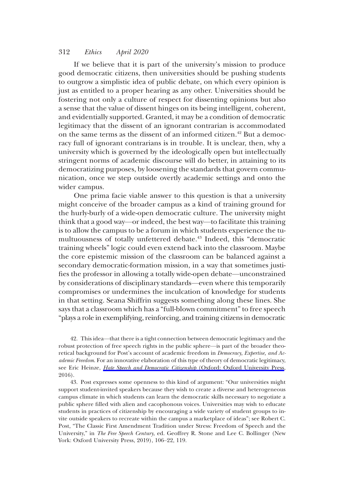If we believe that it is part of the university's mission to produce good democratic citizens, then universities should be pushing students to outgrow a simplistic idea of public debate, on which every opinion is just as entitled to a proper hearing as any other. Universities should be fostering not only a culture of respect for dissenting opinions but also a sense that the value of dissent hinges on its being intelligent, coherent, and evidentially supported. Granted, it may be a condition of democratic legitimacy that the dissent of an ignorant contrarian is accommodated on the same terms as the dissent of an informed citizen.<sup>42</sup> But a democracy full of ignorant contrarians is in trouble. It is unclear, then, why a university which is governed by the ideologically open but intellectually stringent norms of academic discourse will do better, in attaining to its democratizing purposes, by loosening the standards that govern communication, once we step outside overtly academic settings and onto the wider campus.

One prima facie viable answer to this question is that a university might conceive of the broader campus as a kind of training ground for the hurly-burly of a wide-open democratic culture. The university might think that a good way—or indeed, the best way—to facilitate this training is to allow the campus to be a forum in which students experience the tumultuousness of totally unfettered debate.<sup>43</sup> Indeed, this "democratic training wheels" logic could even extend back into the classroom. Maybe the core epistemic mission of the classroom can be balanced against a secondary democratic-formation mission, in a way that sometimes justifies the professor in allowing a totally wide-open debate—unconstrained by considerations of disciplinary standards—even where this temporarily compromises or undermines the inculcation of knowledge for students in that setting. Seana Shiffrin suggests something along these lines. She says that a classroom which has a "full-blown commitment" to free speech "plays a role in exemplifying, reinforcing, and training citizens in democratic

42. This idea—that there is a tight connection between democratic legitimacy and the robust protection of free speech rights in the public sphere—is part of the broader theoretical background for Post's account of academic freedom in Democracy, Expertise, and Academic Freedom. For an innovative elaboration of this type of theory of democratic legitimacy, see Eric Heinze, [Hate Speech and Democratic Citizenship](https://www.journals.uchicago.edu/action/showLinks?doi=10.1086%2F707211&crossref=10.1093%2Facprof%3Aoso%2F9780198759027.001.0001&citationId=p_n_62) (Oxford: Oxford University Press, 2016).

43. Post expresses some openness to this kind of argument: "Our universities might support student-invited speakers because they wish to create a diverse and heterogeneous campus climate in which students can learn the democratic skills necessary to negotiate a public sphere filled with alien and cacophonous voices. Universities may wish to educate students in practices of citizenship by encouraging a wide variety of student groups to invite outside speakers to recreate within the campus a marketplace of ideas"; see Robert C. Post, "The Classic First Amendment Tradition under Stress: Freedom of Speech and the University," in The Free Speech Century, ed. Geoffrey R. Stone and Lee C. Bollinger (New York: Oxford University Press, 2019), 106–22, 119.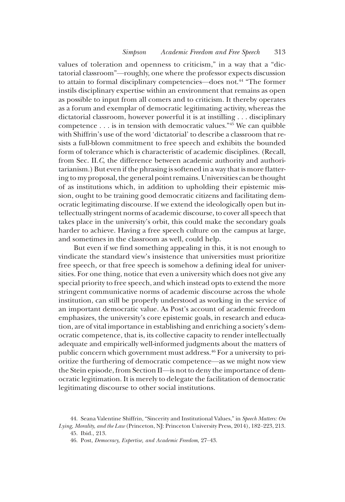values of toleration and openness to criticism," in a way that a "dictatorial classroom"—roughly, one where the professor expects discussion to attain to formal disciplinary competencies—does not.<sup>44</sup> "The former" instils disciplinary expertise within an environment that remains as open as possible to input from all comers and to criticism. It thereby operates as a forum and exemplar of democratic legitimating activity, whereas the dictatorial classroom, however powerful it is at instilling . . . disciplinary competence  $\dots$  is in tension with democratic values.<sup>"45</sup> We can quibble with Shiffrin's use of the word 'dictatorial' to describe a classroom that resists a full-blown commitment to free speech and exhibits the bounded form of tolerance which is characteristic of academic disciplines. (Recall, from Sec. II.C, the difference between academic authority and authoritarianism.) But even if the phrasing is softened in a way that is more flattering to my proposal, the general point remains. Universities can be thought of as institutions which, in addition to upholding their epistemic mission, ought to be training good democratic citizens and facilitating democratic legitimating discourse. If we extend the ideologically open but intellectually stringent norms of academic discourse, to cover all speech that takes place in the university's orbit, this could make the secondary goals harder to achieve. Having a free speech culture on the campus at large, and sometimes in the classroom as well, could help.

But even if we find something appealing in this, it is not enough to vindicate the standard view's insistence that universities must prioritize free speech, or that free speech is somehow a defining ideal for universities. For one thing, notice that even a university which does not give any special priority to free speech, and which instead opts to extend the more stringent communicative norms of academic discourse across the whole institution, can still be properly understood as working in the service of an important democratic value. As Post's account of academic freedom emphasizes, the university's core epistemic goals, in research and education, are of vital importance in establishing and enriching a society's democratic competence, that is, its collective capacity to render intellectually adequate and empirically well-informed judgments about the matters of public concern which government must address.<sup>46</sup> For a university to prioritize the furthering of democratic competence—as we might now view the Stein episode, from Section II—is not to deny the importance of democratic legitimation. It is merely to delegate the facilitation of democratic legitimating discourse to other social institutions.

46. Post, Democracy, Expertise, and Academic Freedom, 27–43.

<sup>44.</sup> Seana Valentine Shiffrin, "Sincerity and Institutional Values," in Speech Matters: On Lying, Morality, and the Law (Princeton, NJ: Princeton University Press, 2014), 182–223, 213.

<sup>45.</sup> Ibid., 213.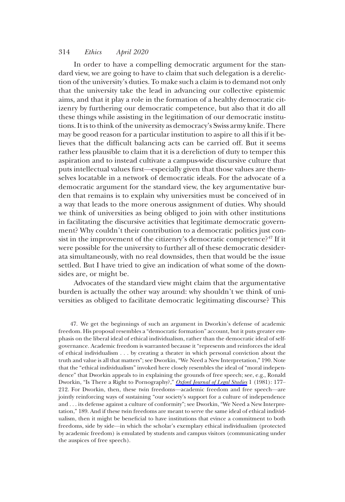In order to have a compelling democratic argument for the standard view, we are going to have to claim that such delegation is a dereliction of the university's duties. To make such a claim is to demand not only that the university take the lead in advancing our collective epistemic aims, and that it play a role in the formation of a healthy democratic citizenry by furthering our democratic competence, but also that it do all these things while assisting in the legitimation of our democratic institutions. It is to think of the university as democracy's Swiss army knife. There may be good reason for a particular institution to aspire to all this if it believes that the difficult balancing acts can be carried off. But it seems rather less plausible to claim that it is a dereliction of duty to temper this aspiration and to instead cultivate a campus-wide discursive culture that puts intellectual values first—especially given that those values are themselves locatable in a network of democratic ideals. For the advocate of a democratic argument for the standard view, the key argumentative burden that remains is to explain why universities must be conceived of in a way that leads to the more onerous assignment of duties. Why should we think of universities as being obliged to join with other institutions in facilitating the discursive activities that legitimate democratic government? Why couldn't their contribution to a democratic politics just consist in the improvement of the citizenry's democratic competence?<sup>47</sup> If it were possible for the university to further all of these democratic desiderata simultaneously, with no real downsides, then that would be the issue settled. But I have tried to give an indication of what some of the downsides are, or might be.

Advocates of the standard view might claim that the argumentative burden is actually the other way around: why shouldn't we think of universities as obliged to facilitate democratic legitimating discourse? This

47. We get the beginnings of such an argument in Dworkin's defense of academic freedom. His proposal resembles a "democratic formation" account, but it puts greater emphasis on the liberal ideal of ethical individualism, rather than the democratic ideal of selfgovernance. Academic freedom is warranted because it "represents and reinforces the ideal of ethical individualism . . . by creating a theater in which personal conviction about the truth and value is all that matters"; see Dworkin, "We Need a New Interpretation," 190. Note that the "ethical individualism" invoked here closely resembles the ideal of "moral independence" that Dworkin appeals to in explaining the grounds of free speech; see, e.g., Ronald Dworkin, "Is There a Right to Pornography?," [Oxford Journal of Legal Studies](https://www.journals.uchicago.edu/action/showLinks?doi=10.1086%2F707211&crossref=10.1093%2Fojls%2F1.2.177&citationId=p_n_70) 1 (1981): 177-212. For Dworkin, then, these twin freedoms—academic freedom and free speech—are jointly reinforcing ways of sustaining "our society's support for a culture of independence and . . . its defense against a culture of conformity"; see Dworkin, "We Need a New Interpretation," 189. And if these twin freedoms are meant to serve the same ideal of ethical individualism, then it might be beneficial to have institutions that evince a commitment to both freedoms, side by side—in which the scholar's exemplary ethical individualism (protected by academic freedom) is emulated by students and campus visitors (communicating under the auspices of free speech).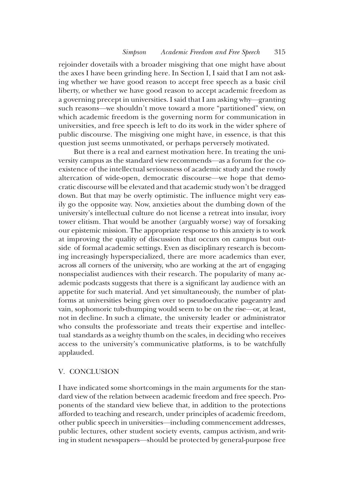rejoinder dovetails with a broader misgiving that one might have about the axes I have been grinding here. In Section I, I said that I am not asking whether we have good reason to accept free speech as a basic civil liberty, or whether we have good reason to accept academic freedom as a governing precept in universities. I said that I am asking why—granting such reasons—we shouldn't move toward a more "partitioned" view, on which academic freedom is the governing norm for communication in universities, and free speech is left to do its work in the wider sphere of public discourse. The misgiving one might have, in essence, is that this question just seems unmotivated, or perhaps perversely motivated.

But there is a real and earnest motivation here. In treating the university campus as the standard view recommends—as a forum for the coexistence of the intellectual seriousness of academic study and the rowdy altercation of wide-open, democratic discourse—we hope that democratic discourse will be elevated and that academic study won't be dragged down. But that may be overly optimistic. The influence might very easily go the opposite way. Now, anxieties about the dumbing down of the university's intellectual culture do not license a retreat into insular, ivory tower elitism. That would be another (arguably worse) way of forsaking our epistemic mission. The appropriate response to this anxiety is to work at improving the quality of discussion that occurs on campus but outside of formal academic settings. Even as disciplinary research is becoming increasingly hyperspecialized, there are more academics than ever, across all corners of the university, who are working at the art of engaging nonspecialist audiences with their research. The popularity of many academic podcasts suggests that there is a significant lay audience with an appetite for such material. And yet simultaneously, the number of platforms at universities being given over to pseudoeducative pageantry and vain, sophomoric tub-thumping would seem to be on the rise—or, at least, not in decline. In such a climate, the university leader or administrator who consults the professoriate and treats their expertise and intellectual standards as a weighty thumb on the scales, in deciding who receives access to the university's communicative platforms, is to be watchfully applauded.

### V. CONCLUSION

I have indicated some shortcomings in the main arguments for the standard view of the relation between academic freedom and free speech. Proponents of the standard view believe that, in addition to the protections afforded to teaching and research, under principles of academic freedom, other public speech in universities—including commencement addresses, public lectures, other student society events, campus activism, and writing in student newspapers—should be protected by general-purpose free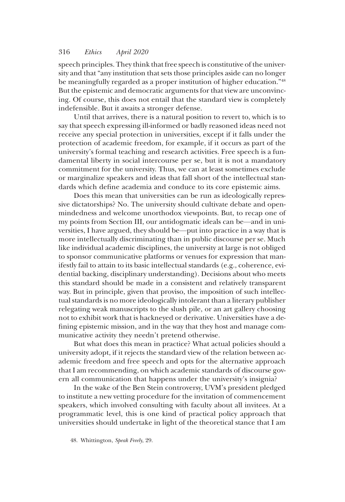speech principles. They think that free speech is constitutive of the university and that "any institution that sets those principles aside can no longer be meaningfully regarded as a proper institution of higher education."<sup>48</sup> But the epistemic and democratic arguments for that view are unconvincing. Of course, this does not entail that the standard view is completely indefensible. But it awaits a stronger defense.

Until that arrives, there is a natural position to revert to, which is to say that speech expressing ill-informed or badly reasoned ideas need not receive any special protection in universities, except if it falls under the protection of academic freedom, for example, if it occurs as part of the university's formal teaching and research activities. Free speech is a fundamental liberty in social intercourse per se, but it is not a mandatory commitment for the university. Thus, we can at least sometimes exclude or marginalize speakers and ideas that fall short of the intellectual standards which define academia and conduce to its core epistemic aims.

Does this mean that universities can be run as ideologically repressive dictatorships? No. The university should cultivate debate and openmindedness and welcome unorthodox viewpoints. But, to recap one of my points from Section III, our antidogmatic ideals can be—and in universities, I have argued, they should be—put into practice in a way that is more intellectually discriminating than in public discourse per se. Much like individual academic disciplines, the university at large is not obliged to sponsor communicative platforms or venues for expression that manifestly fail to attain to its basic intellectual standards (e.g., coherence, evidential backing, disciplinary understanding). Decisions about who meets this standard should be made in a consistent and relatively transparent way. But in principle, given that proviso, the imposition of such intellectual standards is no more ideologically intolerant than a literary publisher relegating weak manuscripts to the slush pile, or an art gallery choosing not to exhibit work that is hackneyed or derivative. Universities have a defining epistemic mission, and in the way that they host and manage communicative activity they needn't pretend otherwise.

But what does this mean in practice? What actual policies should a university adopt, if it rejects the standard view of the relation between academic freedom and free speech and opts for the alternative approach that I am recommending, on which academic standards of discourse govern all communication that happens under the university's insignia?

In the wake of the Ben Stein controversy, UVM's president pledged to institute a new vetting procedure for the invitation of commencement speakers, which involved consulting with faculty about all invitees. At a programmatic level, this is one kind of practical policy approach that universities should undertake in light of the theoretical stance that I am

<sup>48.</sup> Whittington, Speak Freely, 29.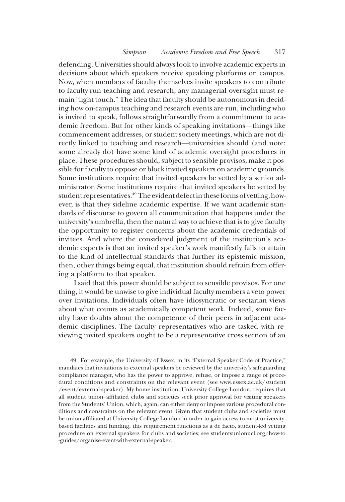defending. Universities should always look to involve academic experts in decisions about which speakers receive speaking platforms on campus. Now, when members of faculty themselves invite speakers to contribute to faculty-run teaching and research, any managerial oversight must remain "light touch." The idea that faculty should be autonomous in deciding how on-campus teaching and research events are run, including who is invited to speak, follows straightforwardly from a commitment to academic freedom. But for other kinds of speaking invitations—things like commencement addresses, or student society meetings, which are not directly linked to teaching and research—universities should (and note: some already do) have some kind of academic oversight procedures in place. These procedures should, subject to sensible provisos, make it possible for faculty to oppose or block invited speakers on academic grounds. Some institutions require that invited speakers be vetted by a senior administrator. Some institutions require that invited speakers be vetted by student representatives.<sup>49</sup> The evident defect in these forms of vetting, however, is that they sideline academic expertise. If we want academic standards of discourse to govern all communication that happens under the university's umbrella, then the natural way to achieve that is to give faculty the opportunity to register concerns about the academic credentials of invitees. And where the considered judgment of the institution's academic experts is that an invited speaker's work manifestly fails to attain to the kind of intellectual standards that further its epistemic mission, then, other things being equal, that institution should refrain from offering a platform to that speaker.

I said that this power should be subject to sensible provisos. For one thing, it would be unwise to give individual faculty members a veto power over invitations. Individuals often have idiosyncratic or sectarian views about what counts as academically competent work. Indeed, some faculty have doubts about the competence of their peers in adjacent academic disciplines. The faculty representatives who are tasked with reviewing invited speakers ought to be a representative cross section of an

49. For example, the University of Essex, in its "External Speaker Code of Practice," mandates that invitations to external speakers be reviewed by the university's safeguarding compliance manager, who has the power to approve, refuse, or impose a range of procedural conditions and constraints on the relevant event (see www.essex.ac.uk/student /event/external-speaker). My home institution, University College London, requires that all student union–affiliated clubs and societies seek prior approval for visiting speakers from the Students' Union, which, again, can either deny or impose various procedural conditions and constraints on the relevant event. Given that student clubs and societies must be union affiliated at University College London in order to gain access to most universitybased facilities and funding, this requirement functions as a de facto, student-led vetting procedure on external speakers for clubs and societies; see studentsunionucl.org/how-to -guides/organise-event-with-external-speaker.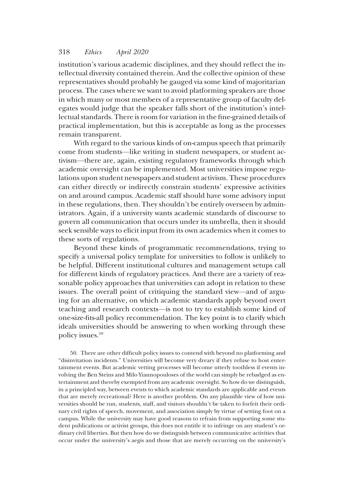institution's various academic disciplines, and they should reflect the intellectual diversity contained therein. And the collective opinion of these representatives should probably be gauged via some kind of majoritarian process. The cases where we want to avoid platforming speakers are those in which many or most members of a representative group of faculty delegates would judge that the speaker falls short of the institution's intellectual standards. There is room for variation in the fine-grained details of practical implementation, but this is acceptable as long as the processes remain transparent.

With regard to the various kinds of on-campus speech that primarily come from students—like writing in student newspapers, or student activism—there are, again, existing regulatory frameworks through which academic oversight can be implemented. Most universities impose regulations upon student newspapers and student activism. These procedures can either directly or indirectly constrain students' expressive activities on and around campus. Academic staff should have some advisory input in these regulations, then. They shouldn't be entirely overseen by administrators. Again, if a university wants academic standards of discourse to govern all communication that occurs under its umbrella, then it should seek sensible ways to elicit input from its own academics when it comes to these sorts of regulations.

Beyond these kinds of programmatic recommendations, trying to specify a universal policy template for universities to follow is unlikely to be helpful. Different institutional cultures and management setups call for different kinds of regulatory practices. And there are a variety of reasonable policy approaches that universities can adopt in relation to these issues. The overall point of critiquing the standard view—and of arguing for an alternative, on which academic standards apply beyond overt teaching and research contexts—is not to try to establish some kind of one-size-fits-all policy recommendation. The key point is to clarify which ideals universities should be answering to when working through these policy issues.50

50. There are other difficult policy issues to contend with beyond no platforming and "disinvitation incidents." Universities will become very dreary if they refuse to host entertainment events. But academic vetting processes will become utterly toothless if events involving the Ben Steins and Milo Yiannopouloses of the world can simply be rebadged as entertainment and thereby exempted from any academic oversight. So how do we distinguish, in a principled way, between events to which academic standards are applicable and events that are merely recreational? Here is another problem. On any plausible view of how universities should be run, students, staff, and visitors shouldn't be taken to forfeit their ordinary civil rights of speech, movement, and association simply by virtue of setting foot on a campus. While the university may have good reasons to refrain from supporting some student publications or activist groups, this does not entitle it to infringe on any student's ordinary civil liberties. But then how do we distinguish between communicative activities that occur under the university's aegis and those that are merely occurring on the university's